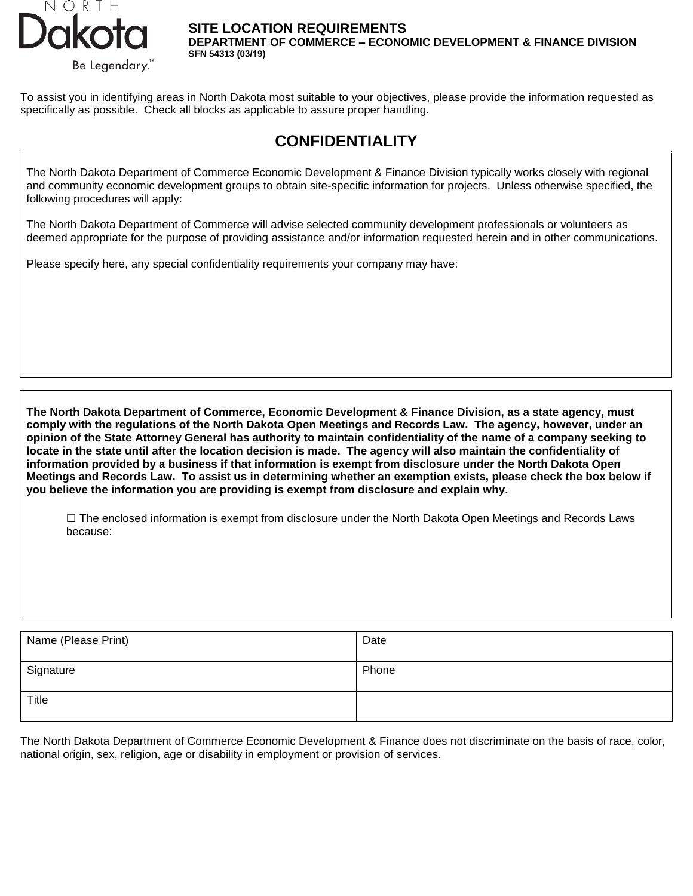

**SITE LOCATION REQUIREMENTS**  DEPARTMENT OF COMMERCE – ECONOMIC DEVELOPMENT & FINANCE DIVISION SFN 54313 (11-2021)

To assist you in identifying areas in North Dakota most suitable to your objectives, please provide the information requested as specifically as possible. Check all blocks as applicable to assure proper handling.

# **CONFIDENTIALITY**

The North Dakota Department of Commerce Economic Development & Finance Division typically works closely with regional and community economic development groups to obtain site-specific information for projects. Unless otherwise specified, the following procedures will apply:

The North Dakota Department of Commerce will advise selected community development professionals or volunteers as deemed appropriate for the purpose of providing assistance and/or information requested herein and in other communications.

Please specify here, any special confidentiality requirements your company may have:

**The North Dakota Department of Commerce, Economic Development & Finance Division, as a state agency, must comply with the regulations of the North Dakota Open Meetings and Records Law. The agency, however, under an opinion of the State Attorney General has authority to maintain confidentiality of the name of a company seeking to locate in the state until after the location decision is made. The agency will also maintain the confidentiality of information provided by a business if that information is exempt from disclosure under the North Dakota Open Meetings and Records Law. To assist us in determining whether an exemption exists, please check the box below if you believe the information you are providing is exempt from disclosure and explain why.**

 $\Box$  The enclosed information is exempt from disclosure under the North Dakota Open Meetings and Records Laws because:

| Name (Please Print) | Date  |
|---------------------|-------|
| Signature           | Phone |
| <b>Title</b>        |       |

The North Dakota Department of Commerce Economic Development & Finance does not discriminate on the basis of race, color, national origin, sex, religion, age or disability in employment or provision of services.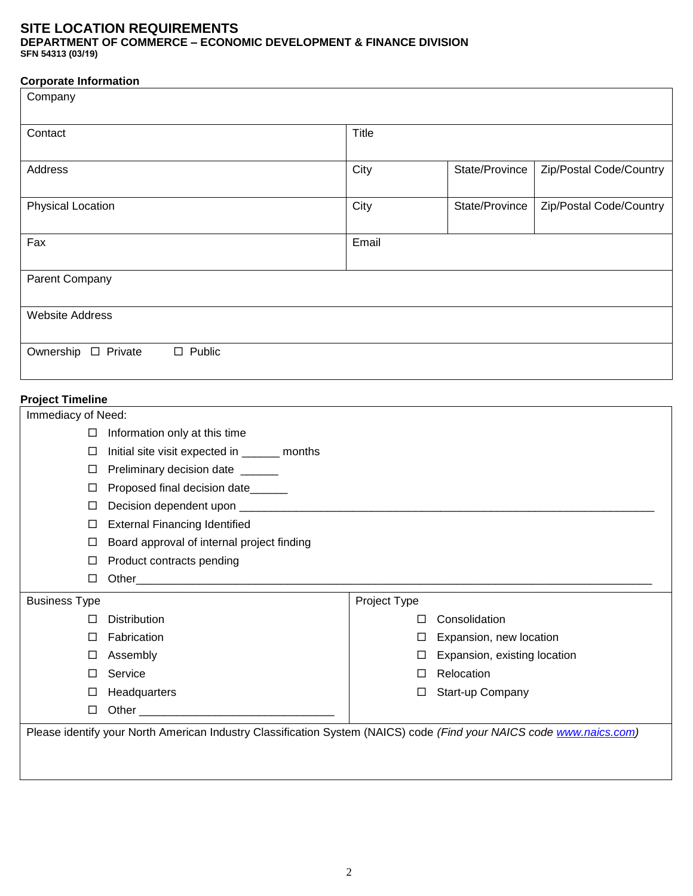DEPARTMENT OF COMMERCE – ECONOMIC DEVELOPMENT & FINANCE DIVISION SFN 54313 (11-2021)

### **Corporate Information**

| Company                |                                                                                                                      |       |                              |                         |  |  |  |
|------------------------|----------------------------------------------------------------------------------------------------------------------|-------|------------------------------|-------------------------|--|--|--|
| Contact                |                                                                                                                      | Title |                              |                         |  |  |  |
| <b>Address</b>         |                                                                                                                      | City  | State/Province               | Zip/Postal Code/Country |  |  |  |
| Physical Location      |                                                                                                                      | City  | State/Province               | Zip/Postal Code/Country |  |  |  |
| Fax                    |                                                                                                                      | Email |                              |                         |  |  |  |
| Parent Company         |                                                                                                                      |       |                              |                         |  |  |  |
| <b>Website Address</b> |                                                                                                                      |       |                              |                         |  |  |  |
| Ownership □ Private    | $\square$ Public                                                                                                     |       |                              |                         |  |  |  |
|                        | <b>Project Timeline</b>                                                                                              |       |                              |                         |  |  |  |
| Immediacy of Need:     |                                                                                                                      |       |                              |                         |  |  |  |
| $\Box$                 | Information only at this time                                                                                        |       |                              |                         |  |  |  |
| □                      | Initial site visit expected in ______ months                                                                         |       |                              |                         |  |  |  |
| □                      | Preliminary decision date ______                                                                                     |       |                              |                         |  |  |  |
| □                      | Proposed final decision date______                                                                                   |       |                              |                         |  |  |  |
| □                      |                                                                                                                      |       |                              |                         |  |  |  |
| □                      | <b>External Financing Identified</b>                                                                                 |       |                              |                         |  |  |  |
| □                      | Board approval of internal project finding                                                                           |       |                              |                         |  |  |  |
| □                      | Product contracts pending                                                                                            |       |                              |                         |  |  |  |
| □                      |                                                                                                                      |       |                              |                         |  |  |  |
| <b>Business Type</b>   | Project Type                                                                                                         |       |                              |                         |  |  |  |
| □                      | <b>Distribution</b>                                                                                                  | ⊔     | Consolidation                |                         |  |  |  |
| □                      | Fabrication                                                                                                          | ப     | Expansion, new location      |                         |  |  |  |
| $\Box$                 | Assembly                                                                                                             | ⊔     | Expansion, existing location |                         |  |  |  |
| □                      | Service                                                                                                              | ⊔     | Relocation                   |                         |  |  |  |
| $\Box$                 | Headquarters                                                                                                         | ⊔     | Start-up Company             |                         |  |  |  |
| $\Box$                 |                                                                                                                      |       |                              |                         |  |  |  |
|                        | Please identify your North American Industry Classification System (NAICS) code (Find your NAICS code www.naics.com) |       |                              |                         |  |  |  |
|                        |                                                                                                                      |       |                              |                         |  |  |  |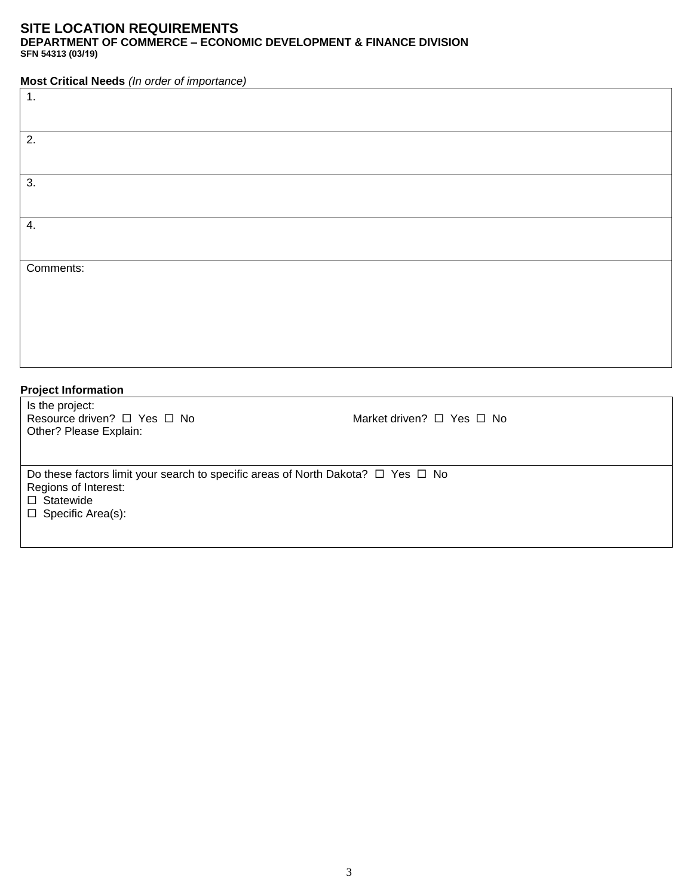DEPARTMENT OF COMMERCE – ECONOMIC DEVELOPMENT & FINANCE DIVISION SFN 54313 (11-2021)

**Most Critical Needs** *(In order of importance)*

| 1.                                                                                         |                           |  |
|--------------------------------------------------------------------------------------------|---------------------------|--|
|                                                                                            |                           |  |
|                                                                                            |                           |  |
| 2.                                                                                         |                           |  |
|                                                                                            |                           |  |
|                                                                                            |                           |  |
| 3.                                                                                         |                           |  |
|                                                                                            |                           |  |
|                                                                                            |                           |  |
| 4.                                                                                         |                           |  |
|                                                                                            |                           |  |
|                                                                                            |                           |  |
| Comments:                                                                                  |                           |  |
|                                                                                            |                           |  |
|                                                                                            |                           |  |
|                                                                                            |                           |  |
|                                                                                            |                           |  |
|                                                                                            |                           |  |
|                                                                                            |                           |  |
|                                                                                            |                           |  |
| <b>Project Information</b>                                                                 |                           |  |
| Is the project:                                                                            |                           |  |
| Resource driven? □ Yes □ No                                                                | Market driven? □ Yes □ No |  |
| Other? Please Explain:                                                                     |                           |  |
|                                                                                            |                           |  |
|                                                                                            |                           |  |
| Do these factors limit your search to specific areas of North Dakota? $\Box$ Yes $\Box$ No |                           |  |
| Regions of Interest:                                                                       |                           |  |
| $\square$ Statewide                                                                        |                           |  |

 $\Box$  Specific Area(s):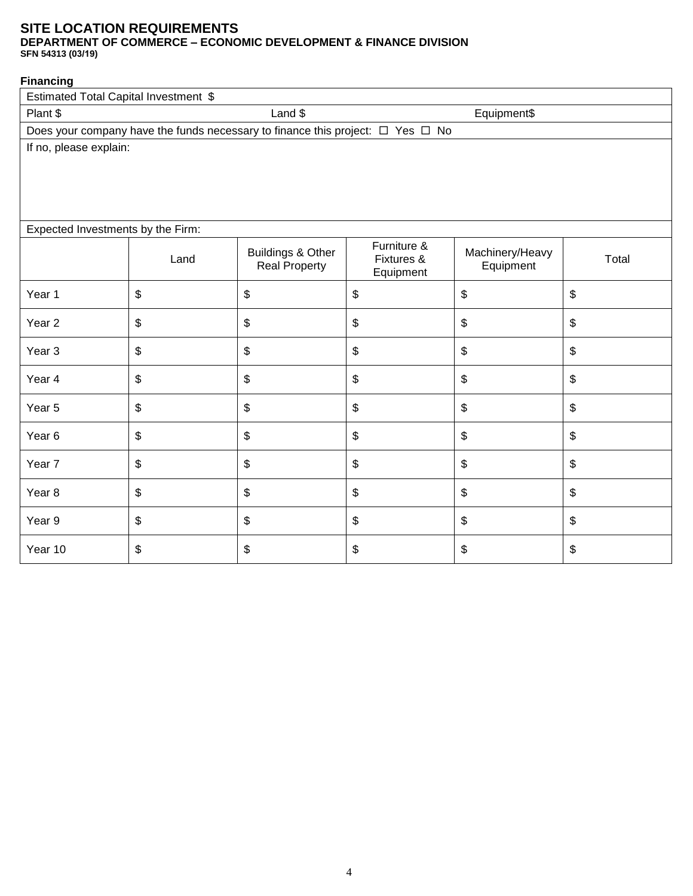DEPARTMENT OF COMMERCE – ECONOMIC DEVELOPMENT & FINANCE DIVISION SFN 54313 (11-2021)

#### **Financing**

| Estimated Total Capital Investment \$ |                           |                                                      |                                                                                          |                              |       |  |
|---------------------------------------|---------------------------|------------------------------------------------------|------------------------------------------------------------------------------------------|------------------------------|-------|--|
| Plant \$                              | Land \$<br>Equipment\$    |                                                      |                                                                                          |                              |       |  |
|                                       |                           |                                                      | Does your company have the funds necessary to finance this project: $\Box$ Yes $\Box$ No |                              |       |  |
| If no, please explain:                |                           |                                                      |                                                                                          |                              |       |  |
|                                       |                           |                                                      |                                                                                          |                              |       |  |
|                                       |                           |                                                      |                                                                                          |                              |       |  |
|                                       |                           |                                                      |                                                                                          |                              |       |  |
| Expected Investments by the Firm:     |                           |                                                      |                                                                                          |                              |       |  |
|                                       | Land                      | <b>Buildings &amp; Other</b><br><b>Real Property</b> | Furniture &<br>Fixtures &<br>Equipment                                                   | Machinery/Heavy<br>Equipment | Total |  |
| Year 1                                | \$                        | \$                                                   | \$                                                                                       | \$                           | \$    |  |
| Year <sub>2</sub>                     | \$                        | \$                                                   | \$                                                                                       | \$                           | \$    |  |
| Year <sub>3</sub>                     | \$                        | \$                                                   | \$                                                                                       | \$                           | \$    |  |
| Year 4                                | $\sqrt[6]{\frac{1}{2}}$   | \$                                                   | \$                                                                                       | \$                           | \$    |  |
| Year 5                                | \$                        | \$                                                   | \$                                                                                       | $\boldsymbol{\mathsf{S}}$    | \$    |  |
| Year <sub>6</sub>                     | \$                        | \$                                                   | \$                                                                                       | \$                           | \$    |  |
| Year <sub>7</sub>                     | \$                        | \$                                                   | \$                                                                                       | \$                           | \$    |  |
| Year <sub>8</sub>                     | $\$\$                     | $\, \, \raisebox{12pt}{$\scriptstyle \$}$            | $\, \, \raisebox{12pt}{$\scriptstyle \$}$                                                | \$                           | \$    |  |
| Year 9                                | $\boldsymbol{\mathsf{S}}$ | \$                                                   | \$                                                                                       | \$                           | \$    |  |
| Year 10                               | $\boldsymbol{\mathsf{S}}$ | \$                                                   | \$                                                                                       | \$                           | \$    |  |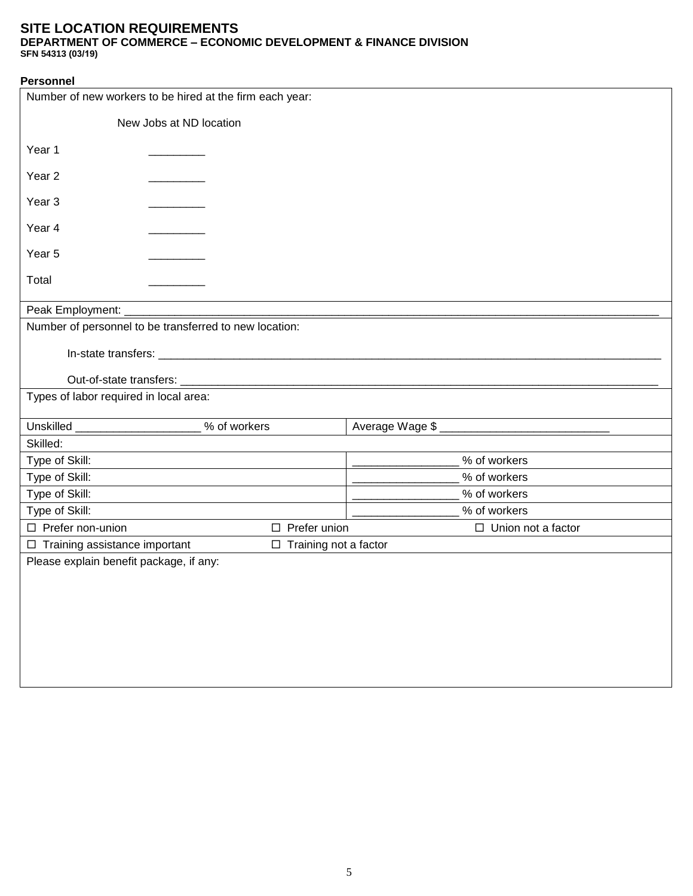DEPARTMENT OF COMMERCE – ECONOMIC DEVELOPMENT & FINANCE DIVISION SFN 54313 (11-2021)

| <b>Personnel</b>                        |                                                          |                           |
|-----------------------------------------|----------------------------------------------------------|---------------------------|
|                                         | Number of new workers to be hired at the firm each year: |                           |
|                                         | New Jobs at ND location                                  |                           |
| Year 1                                  |                                                          |                           |
| Year <sub>2</sub>                       |                                                          |                           |
| Year <sub>3</sub>                       |                                                          |                           |
| Year 4                                  |                                                          |                           |
| Year 5                                  |                                                          |                           |
| Total                                   |                                                          |                           |
| Peak Employment: _                      |                                                          |                           |
|                                         | Number of personnel to be transferred to new location:   |                           |
|                                         |                                                          |                           |
|                                         |                                                          |                           |
|                                         |                                                          |                           |
| Types of labor required in local area:  |                                                          |                           |
|                                         |                                                          |                           |
| Unskilled _______________               | % of workers                                             | Average Wage \$           |
| Skilled:                                |                                                          |                           |
| Type of Skill:                          |                                                          | % of workers              |
| Type of Skill:                          |                                                          | % of workers              |
| Type of Skill:                          |                                                          | % of workers              |
| Type of Skill:                          |                                                          | % of workers              |
| □ Prefer non-union                      | $\Box$ Prefer union                                      | $\Box$ Union not a factor |
| $\Box$ Training assistance important    | $\Box$ Training not a factor                             |                           |
| Please explain benefit package, if any: |                                                          |                           |
|                                         |                                                          |                           |
|                                         |                                                          |                           |
|                                         |                                                          |                           |
|                                         |                                                          |                           |
|                                         |                                                          |                           |
|                                         |                                                          |                           |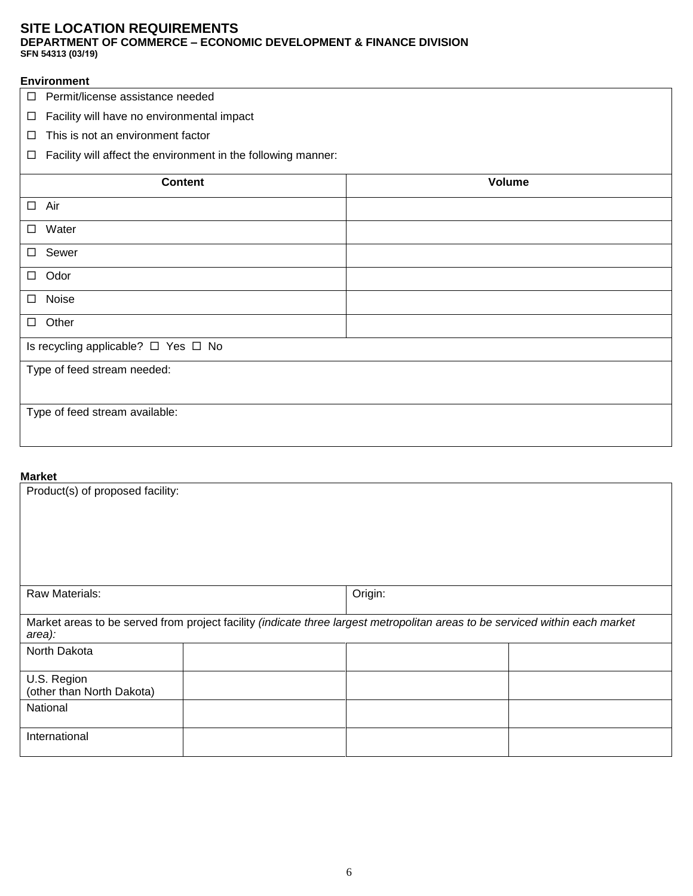DEPARTMENT OF COMMERCE – ECONOMIC DEVELOPMENT & FINANCE DIVISION SFN 54313 (11-2021)

#### **Environment**

- □ Permit/license assistance needed
- $\Box$  Facility will have no environmental impact
- $\Box$  This is not an environment factor
- $\Box$  Facility will affect the environment in the following manner:

| <b>Content</b>                      | Volume |
|-------------------------------------|--------|
| $\square$ Air                       |        |
| □ Water                             |        |
| □ Sewer                             |        |
| $\Box$ Odor                         |        |
| Noise<br>$\Box$                     |        |
| $\Box$ Other                        |        |
| Is recycling applicable? □ Yes □ No |        |
| Type of feed stream needed:         |        |
| Type of feed stream available:      |        |

#### **Market**

| Product(s) of proposed facility:         |                                                                                                                              |  |
|------------------------------------------|------------------------------------------------------------------------------------------------------------------------------|--|
| Raw Materials:                           | Origin:                                                                                                                      |  |
| area):                                   | Market areas to be served from project facility (indicate three largest metropolitan areas to be serviced within each market |  |
| North Dakota                             |                                                                                                                              |  |
| U.S. Region<br>(other than North Dakota) |                                                                                                                              |  |
| National                                 |                                                                                                                              |  |
| International                            |                                                                                                                              |  |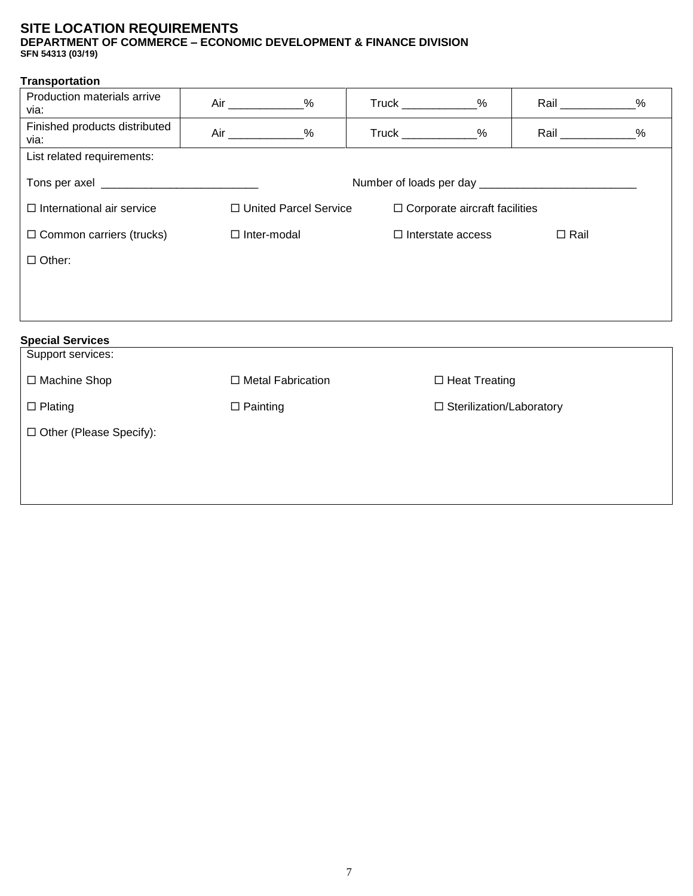DEPARTMENT OF COMMERCE – ECONOMIC DEVELOPMENT & FINANCE DIVISION SFN 54313 (11-2021)

#### **Transportation**

| Production materials arrive<br>via:   | Air ________________%                              |                         | $True k$ _______________% |                                      | Rail ______________% |  |
|---------------------------------------|----------------------------------------------------|-------------------------|---------------------------|--------------------------------------|----------------------|--|
| Finished products distributed<br>via: | $Air$ %                                            |                         | Truck _____________%      |                                      | Rail ______________% |  |
| List related requirements:            |                                                    |                         |                           |                                      |                      |  |
|                                       |                                                    |                         |                           |                                      |                      |  |
| $\Box$ International air service      |                                                    | □ United Parcel Service |                           | $\Box$ Corporate aircraft facilities |                      |  |
| $\Box$ Common carriers (trucks)       | □ Inter-modal                                      |                         |                           | $\Box$ Interstate access             | $\Box$ Rail          |  |
| $\Box$ Other:                         |                                                    |                         |                           |                                      |                      |  |
|                                       |                                                    |                         |                           |                                      |                      |  |
|                                       |                                                    |                         |                           |                                      |                      |  |
| <b>Special Services</b>               |                                                    |                         |                           |                                      |                      |  |
| Support services:                     |                                                    |                         |                           |                                      |                      |  |
| □ Machine Shop                        | $\Box$ Metal Fabrication                           |                         |                           | $\Box$ Heat Treating                 |                      |  |
| $\Box$ Plating                        | $\Box$ Painting<br>$\Box$ Sterilization/Laboratory |                         |                           |                                      |                      |  |
| $\Box$ Other (Please Specify):        |                                                    |                         |                           |                                      |                      |  |
|                                       |                                                    |                         |                           |                                      |                      |  |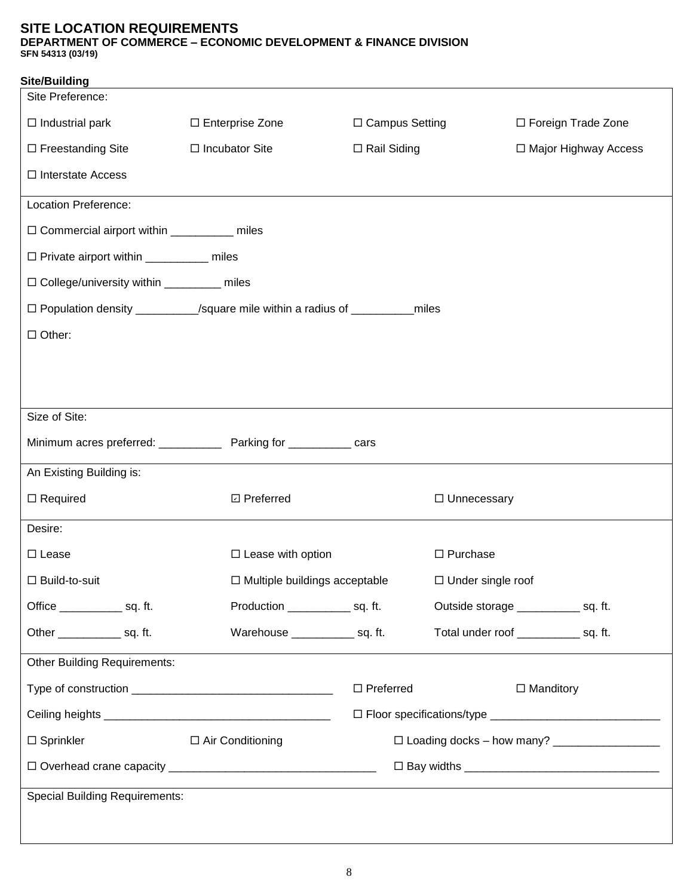DEPARTMENT OF COMMERCE – ECONOMIC DEVELOPMENT & FINANCE DIVISION SFN 54313 (11-2021)

| <b>Site/Building</b>                         |                                                                                |                    |                          |                                          |
|----------------------------------------------|--------------------------------------------------------------------------------|--------------------|--------------------------|------------------------------------------|
| Site Preference:                             |                                                                                |                    |                          |                                          |
| $\Box$ Industrial park                       | □ Enterprise Zone                                                              | □ Campus Setting   |                          | □ Foreign Trade Zone                     |
| $\Box$ Freestanding Site                     | $\Box$ Incubator Site                                                          | $\Box$ Rail Siding |                          | □ Major Highway Access                   |
| $\Box$ Interstate Access                     |                                                                                |                    |                          |                                          |
| Location Preference:                         |                                                                                |                    |                          |                                          |
| □ Commercial airport within __________ miles |                                                                                |                    |                          |                                          |
| □ Private airport within __________ miles    |                                                                                |                    |                          |                                          |
| □ College/university within ________ miles   |                                                                                |                    |                          |                                          |
|                                              | □ Population density _________/square mile within a radius of ___________miles |                    |                          |                                          |
| $\Box$ Other:                                |                                                                                |                    |                          |                                          |
|                                              |                                                                                |                    |                          |                                          |
|                                              |                                                                                |                    |                          |                                          |
| Size of Site:                                |                                                                                |                    |                          |                                          |
|                                              | Minimum acres preferred: ______________ Parking for ___________ cars           |                    |                          |                                          |
| An Existing Building is:                     |                                                                                |                    |                          |                                          |
|                                              |                                                                                |                    |                          |                                          |
| $\Box$ Required                              | □ Preferred                                                                    |                    | □ Unnecessary            |                                          |
| Desire:                                      |                                                                                |                    |                          |                                          |
| $\square$ Lease                              | $\Box$ Lease with option                                                       |                    | $\Box$ Purchase          |                                          |
| $\Box$ Build-to-suit                         | $\Box$ Multiple buildings acceptable                                           |                    | $\Box$ Under single roof |                                          |
| Office _______________ sq. ft.               | Production ______________ sq. ft.                                              |                    |                          | Outside storage ______________ sq. ft.   |
| Other _______________ sq. ft.                | Warehouse _______________ sq. ft.                                              |                    |                          | Total under roof _______________ sq. ft. |
| <b>Other Building Requirements:</b>          |                                                                                |                    |                          |                                          |
|                                              |                                                                                | $\Box$ Preferred   |                          | $\Box$ Manditory                         |
|                                              |                                                                                |                    |                          |                                          |
| $\Box$ Sprinkler                             | $\Box$ Air Conditioning                                                        |                    |                          |                                          |
|                                              |                                                                                |                    |                          |                                          |
| <b>Special Building Requirements:</b>        |                                                                                |                    |                          |                                          |
|                                              |                                                                                |                    |                          |                                          |
|                                              |                                                                                |                    |                          |                                          |